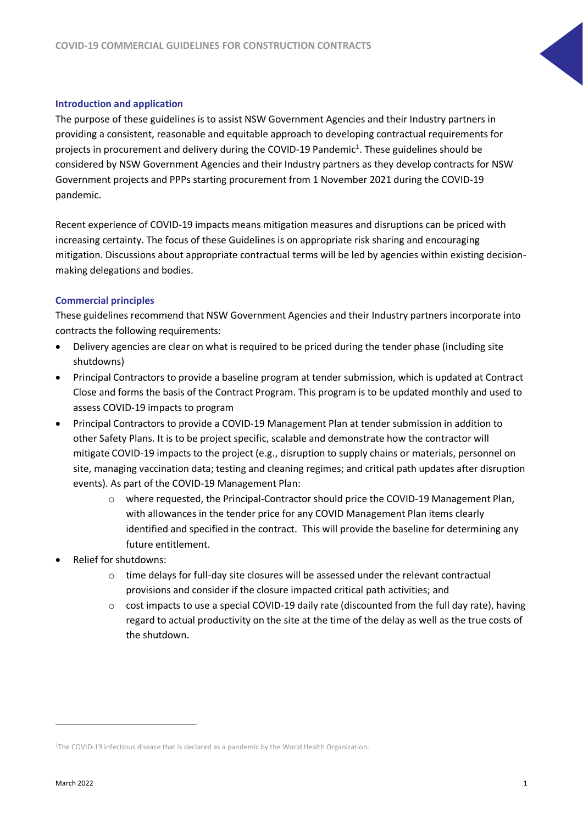## **Introduction and application**

The purpose of these guidelines is to assist NSW Government Agencies and their Industry partners in providing a consistent, reasonable and equitable approach to developing contractual requirements for projects in procurement and delivery during the COVID-19 Pandemic<sup>1</sup>. These guidelines should be considered by NSW Government Agencies and their Industry partners as they develop contracts for NSW Government projects and PPPs starting procurement from 1 November 2021 during the COVID-19 pandemic.

Recent experience of COVID-19 impacts means mitigation measures and disruptions can be priced with increasing certainty. The focus of these Guidelines is on appropriate risk sharing and encouraging mitigation. Discussions about appropriate contractual terms will be led by agencies within existing decisionmaking delegations and bodies.

## **Commercial principles**

These guidelines recommend that NSW Government Agencies and their Industry partners incorporate into contracts the following requirements:

- Delivery agencies are clear on what is required to be priced during the tender phase (including site shutdowns)
- Principal Contractors to provide a baseline program at tender submission, which is updated at Contract Close and forms the basis of the Contract Program. This program is to be updated monthly and used to assess COVID-19 impacts to program
- Principal Contractors to provide a COVID-19 Management Plan at tender submission in addition to other Safety Plans. It is to be project specific, scalable and demonstrate how the contractor will mitigate COVID-19 impacts to the project (e.g., disruption to supply chains or materials, personnel on site, managing vaccination data; testing and cleaning regimes; and critical path updates after disruption events). As part of the COVID-19 Management Plan:
	- o where requested, the Principal-Contractor should price the COVID-19 Management Plan, with allowances in the tender price for any COVID Management Plan items clearly identified and specified in the contract. This will provide the baseline for determining any future entitlement.
- Relief for shutdowns:
	- $\circ$  time delays for full-day site closures will be assessed under the relevant contractual provisions and consider if the closure impacted critical path activities; and
	- $\circ$  cost impacts to use a special COVID-19 daily rate (discounted from the full day rate), having regard to actual productivity on the site at the time of the delay as well as the true costs of the shutdown.

<sup>&</sup>lt;sup>1</sup>The COVID-19 infectious disease that is declared as a pandemic by the World Health Organization.